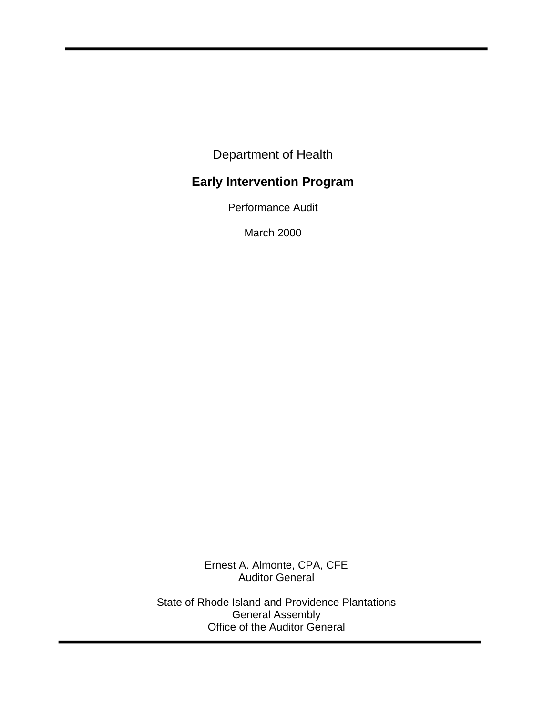Department of Health

# **Early Intervention Program**

Performance Audit

March 2000

Ernest A. Almonte, CPA, CFE Auditor General

State of Rhode Island and Providence Plantations General Assembly Office of the Auditor General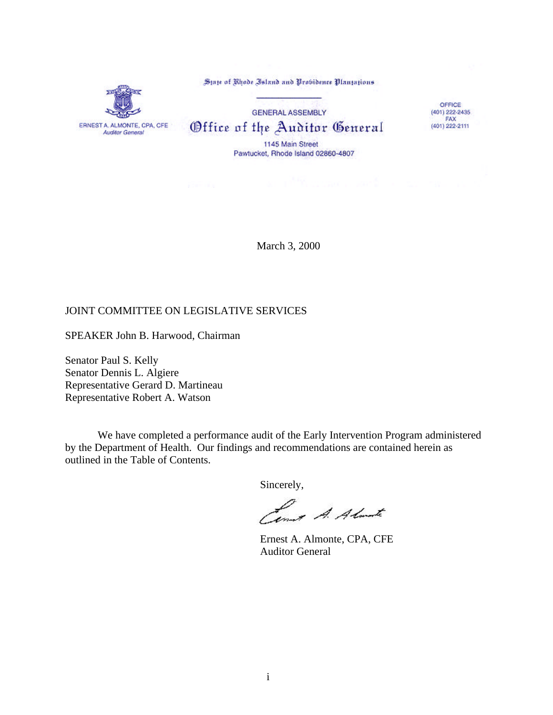State of Rhode Island and Probidence Plantations



**GENERAL ASSEMBLY** Office of the Auditor General 1145 Main Street

Pawtucket, Rhode Island 02860-4807

OFFICE  $(401)$  222-2435 FAX (401) 222-2111

March 3, 2000

### JOINT COMMITTEE ON LEGISLATIVE SERVICES

SPEAKER John B. Harwood, Chairman

Senator Paul S. Kelly Senator Dennis L. Algiere Representative Gerard D. Martineau Representative Robert A. Watson

We have completed a performance audit of the Early Intervention Program administered by the Department of Health. Our findings and recommendations are contained herein as outlined in the Table of Contents.

Sincerely,

Limit A. Almarte

Ernest A. Almonte, CPA, CFE Auditor General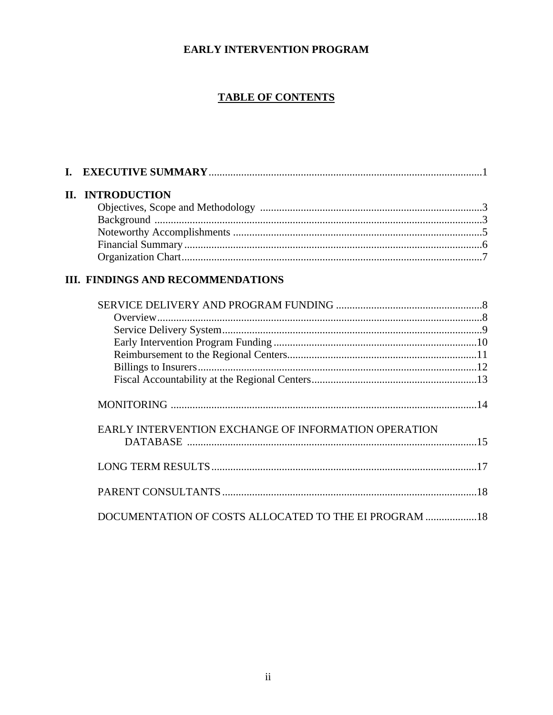# EARLY INTERVENTION PROGRAM

# **TABLE OF CONTENTS**

|  | II. INTRODUCTION |  |
|--|------------------|--|
|  |                  |  |
|  |                  |  |
|  |                  |  |
|  |                  |  |
|  |                  |  |
|  |                  |  |

# III. FINDINGS AND RECOMMENDATIONS

| EARLY INTERVENTION EXCHANGE OF INFORMATION OPERATION   |  |
|--------------------------------------------------------|--|
|                                                        |  |
|                                                        |  |
| DOCUMENTATION OF COSTS ALLOCATED TO THE EI PROGRAM  18 |  |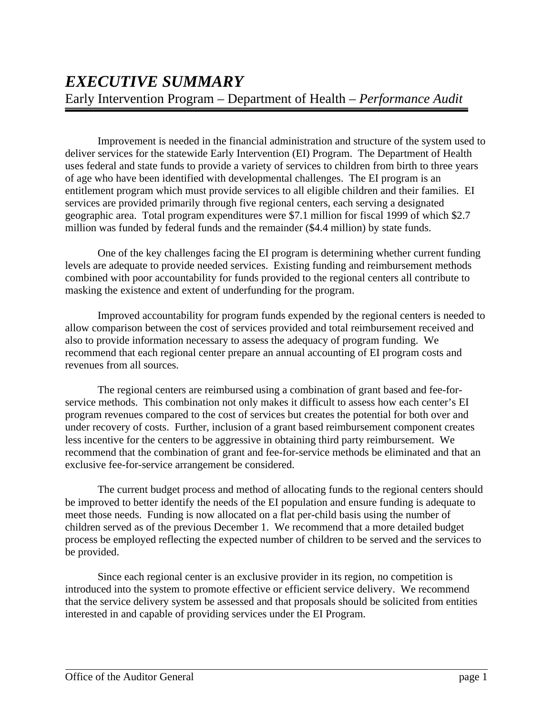Improvement is needed in the financial administration and structure of the system used to deliver services for the statewide Early Intervention (EI) Program. The Department of Health uses federal and state funds to provide a variety of services to children from birth to three years of age who have been identified with developmental challenges. The EI program is an entitlement program which must provide services to all eligible children and their families. EI services are provided primarily through five regional centers, each serving a designated geographic area. Total program expenditures were \$7.1 million for fiscal 1999 of which \$2.7 million was funded by federal funds and the remainder (\$4.4 million) by state funds.

One of the key challenges facing the EI program is determining whether current funding levels are adequate to provide needed services. Existing funding and reimbursement methods combined with poor accountability for funds provided to the regional centers all contribute to masking the existence and extent of underfunding for the program.

Improved accountability for program funds expended by the regional centers is needed to allow comparison between the cost of services provided and total reimbursement received and also to provide information necessary to assess the adequacy of program funding. We recommend that each regional center prepare an annual accounting of EI program costs and revenues from all sources.

The regional centers are reimbursed using a combination of grant based and fee-forservice methods. This combination not only makes it difficult to assess how each center's EI program revenues compared to the cost of services but creates the potential for both over and under recovery of costs. Further, inclusion of a grant based reimbursement component creates less incentive for the centers to be aggressive in obtaining third party reimbursement. We recommend that the combination of grant and fee-for-service methods be eliminated and that an exclusive fee-for-service arrangement be considered.

The current budget process and method of allocating funds to the regional centers should be improved to better identify the needs of the EI population and ensure funding is adequate to meet those needs. Funding is now allocated on a flat per-child basis using the number of children served as of the previous December 1. We recommend that a more detailed budget process be employed reflecting the expected number of children to be served and the services to be provided.

Since each regional center is an exclusive provider in its region, no competition is introduced into the system to promote effective or efficient service delivery. We recommend that the service delivery system be assessed and that proposals should be solicited from entities interested in and capable of providing services under the EI Program.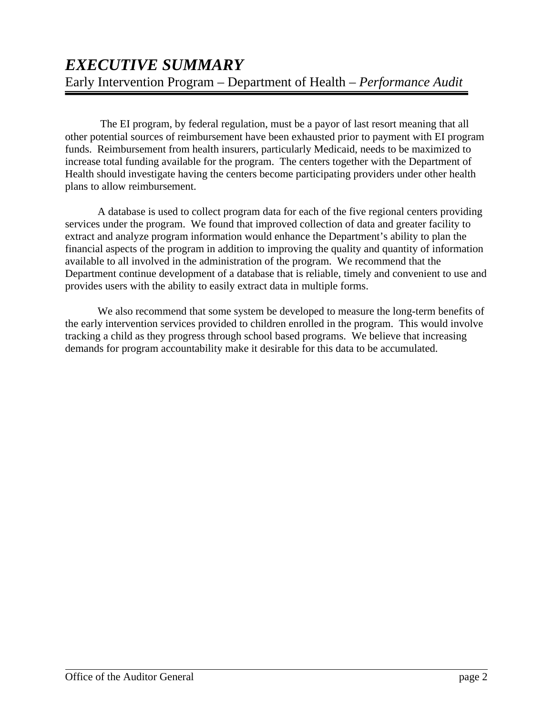The EI program, by federal regulation, must be a payor of last resort meaning that all other potential sources of reimbursement have been exhausted prior to payment with EI program funds. Reimbursement from health insurers, particularly Medicaid, needs to be maximized to increase total funding available for the program. The centers together with the Department of Health should investigate having the centers become participating providers under other health plans to allow reimbursement.

A database is used to collect program data for each of the five regional centers providing services under the program. We found that improved collection of data and greater facility to extract and analyze program information would enhance the Department's ability to plan the financial aspects of the program in addition to improving the quality and quantity of information available to all involved in the administration of the program. We recommend that the Department continue development of a database that is reliable, timely and convenient to use and provides users with the ability to easily extract data in multiple forms.

We also recommend that some system be developed to measure the long-term benefits of the early intervention services provided to children enrolled in the program. This would involve tracking a child as they progress through school based programs. We believe that increasing demands for program accountability make it desirable for this data to be accumulated.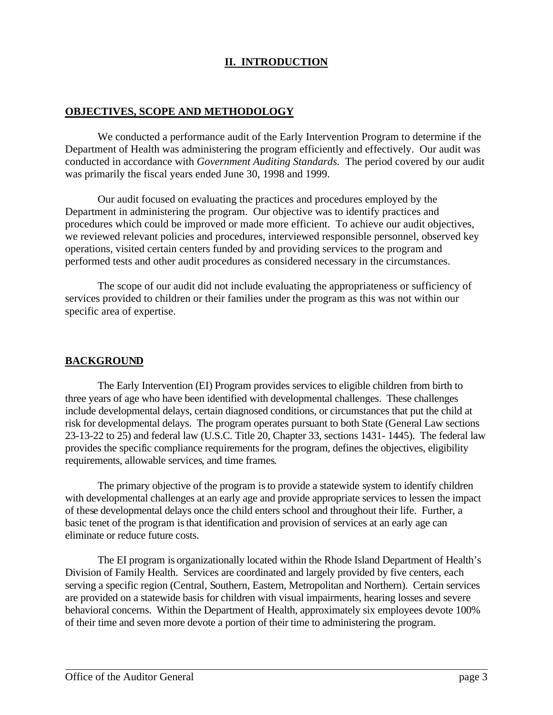# **II. INTRODUCTION**

### **OBJECTIVES, SCOPE AND METHODOLOGY**

We conducted a performance audit of the Early Intervention Program to determine if the Department of Health was administering the program efficiently and effectively. Our audit was conducted in accordance with *Government Auditing Standards.* The period covered by our audit was primarily the fiscal years ended June 30, 1998 and 1999.

Our audit focused on evaluating the practices and procedures employed by the Department in administering the program. Our objective was to identify practices and procedures which could be improved or made more efficient. To achieve our audit objectives, we reviewed relevant policies and procedures, interviewed responsible personnel, observed key operations, visited certain centers funded by and providing services to the program and performed tests and other audit procedures as considered necessary in the circumstances.

The scope of our audit did not include evaluating the appropriateness or sufficiency of services provided to children or their families under the program as this was not within our specific area of expertise.

### **BACKGROUND**

The Early Intervention (EI) Program provides services to eligible children from birth to three years of age who have been identified with developmental challenges. These challenges include developmental delays, certain diagnosed conditions, or circumstances that put the child at risk for developmental delays. The program operates pursuant to both State (General Law sections 23-13-22 to 25) and federal law (U.S.C. Title 20, Chapter 33, sections 1431- 1445). The federal law provides the specific compliance requirements for the program, defines the objectives, eligibility requirements, allowable services, and time frames.

The primary objective of the program is to provide a statewide system to identify children with developmental challenges at an early age and provide appropriate services to lessen the impact of these developmental delays once the child enters school and throughout their life. Further, a basic tenet of the program is that identification and provision of services at an early age can eliminate or reduce future costs.

The EI program is organizationally located within the Rhode Island Department of Health's Division of Family Health. Services are coordinated and largely provided by five centers, each serving a specific region ( Central, Southern, Eastern, Metropolitan and Northern). Certain services are provided on a statewide basis for children with visual impairments, hearing losses and severe behavioral concerns. Within the Department of Health, approximately six employees devote 100% of their time and seven more devote a portion of their time to administering the program.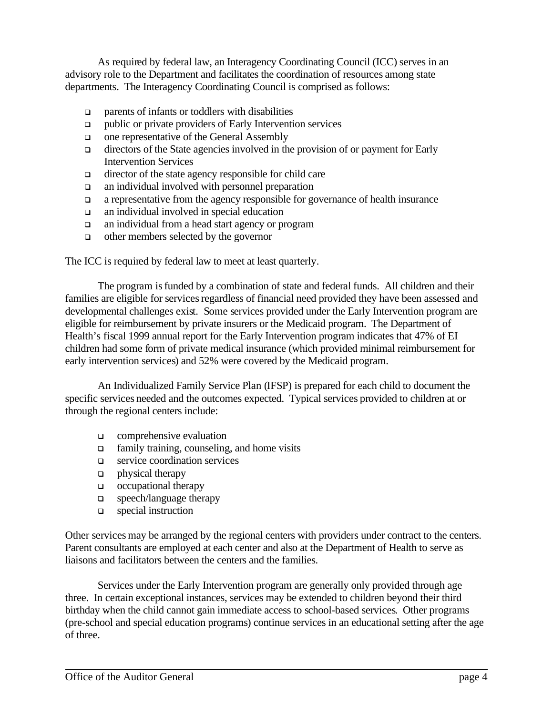As required by federal law, an Interagency Coordinating Council (ICC) serves in an advisory role to the Department and facilitates the coordination of resources among state departments. The Interagency Coordinating Council is comprised as follows:

- $\Box$  parents of infants or toddlers with disabilities
- q public or private providers of Early Intervention services
- $\Box$  one representative of the General Assembly
- $\Box$  directors of the State agencies involved in the provision of or payment for Early **Intervention Services**
- $\Box$  director of the state agency responsible for child care
- $\Box$  an individual involved with personnel preparation
- $\Box$  a representative from the agency responsible for governance of health insurance
- $\Box$  an individual involved in special education
- $\Box$  an individual from a head start agency or program
- $\Box$  other members selected by the governor

The ICC is required by federal law to meet at least quarterly.

The program is funded by a combination of state and federal funds. All children and their families are eligible for services regardless of financial need provided they have been assessed and developmental challenges exist. Some services provided under the Early Intervention program are eligible for reimbursement by private insurers or the Medicaid program. The Department of Health's fiscal 1999 annual report for the Early Intervention program indicates that 47% of EI children had some form of private medical insurance (which provided minimal reimburs ement for early intervention services) and 52% were covered by the Medicaid program.

An Individualized Family Service Plan (IFSP) is prepared for each child to document the specific services needed and the outcomes expected. Typical services provided to children at or through the regional centers include:

- $\Box$  comprehensive evaluation
- $\Box$  family training, counseling, and home visits
- $\Box$  service coordination services
- $\Box$  physical therapy
- $\Box$  occupational therapy
- q speech/language therapy
- q special instruction

Other services may be arranged by the regional centers with providers under contract to the centers. Parent consultants are employed at each center and also at the Department of Health to serve as liaisons and facilitators between the centers and the families.

Services under the Early Intervention program are generally only provided through age three. In certain exceptional instances, services may be extended to children beyond their third birthday when the child cannot gain immediate access to school-based services. Other programs (pre-school and special education programs) continue services in an educational setting after the age of three.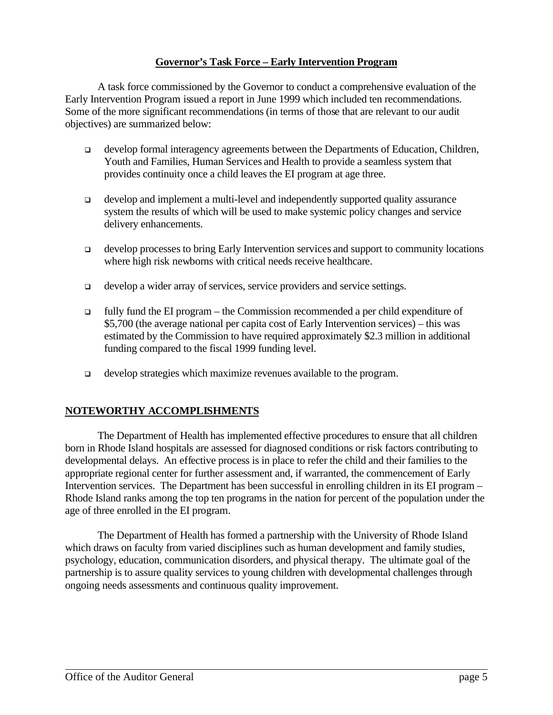### **Governor's Task Force – Early Intervention Program**

A task force commissioned by the Governor to conduct a comprehensive evaluation of the Early Intervention Program issued a report in June 1999 which included ten recommendations. Some of the more significant recommendations (in terms of those that are relevant to our audit objectives) are summarized below:

- develop formal interagency agreements between the Departments of Education, Children,  $\Box$ Youth and Families, Human Services and Health to provide a seamless system that provides continuity once a child leaves the EI program at age three.
- develop and implement a multi-level and independently supported quality assurance  $\Box$ system the results of which will be used to make systemic policy changes and service delivery enhancements.
- develop processes to bring Early Intervention services and support to community locations  $\Box$ where high risk newborns with critical needs receive healthcare.
- develop a wider array of services, service providers and service settings.  $\Box$
- $\Box$ fully fund the EI program – the Commission recommended a per child expenditure of \$5,700 (the average national per capita cost of Early Intervention services) – this was estimated by the Commission to have required approximately \$2.3 million in additional funding compared to the fiscal 1999 funding level.
- develop strategies which maximize revenues available to the program.  $\Box$

### NOTEWORTHY ACCOMPLISHMENTS

The Department of Health has implemented effective procedures to ensure that all children born in Rhode Island hospitals are assessed for diagnosed conditions or risk factors contributing to developmental delays. An effective process is in place to refer the child and their families to the appropriate regional center for further assessment and, if warranted, the commencement of Early Intervention services. The Department has been successful in enrolling children in its EI program – Rhode Island ranks among the top ten programs in the nation for percent of the population under the age of three enrolled in the EI program.

The Department of Health has formed a partnership with the University of Rhode Island which draws on faculty from varied disciplines such as human development and family studies, psychology, education, communication disorders, and physical therapy. The ultimate goal of the partnership is to assure quality services to young children with developmental challenges through ongoing needs assessments and continuous quality improvement.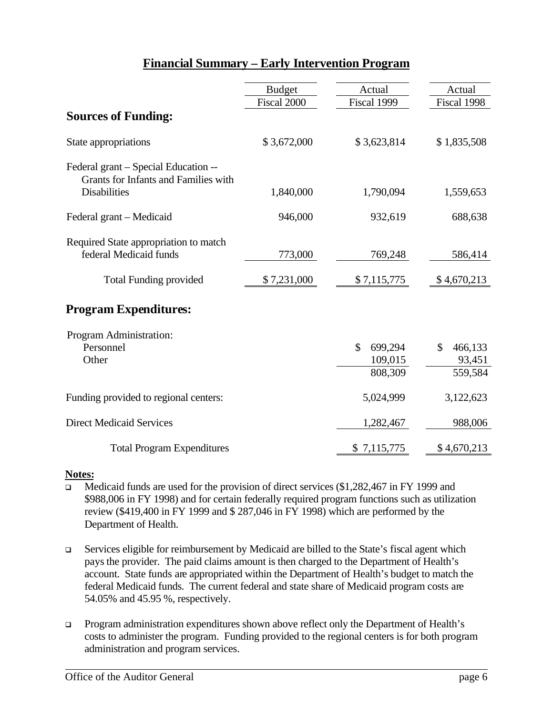# Financial Summary - Early Intervention Program

|                                                                                                            | <b>Budget</b> | Actual                                              | Actual                             |
|------------------------------------------------------------------------------------------------------------|---------------|-----------------------------------------------------|------------------------------------|
|                                                                                                            | Fiscal 2000   | Fiscal 1999                                         | Fiscal 1998                        |
| <b>Sources of Funding:</b>                                                                                 |               |                                                     |                                    |
| State appropriations                                                                                       | \$3,672,000   | \$3,623,814                                         | \$1,835,508                        |
| Federal grant – Special Education --<br><b>Grants for Infants and Families with</b><br><b>Disabilities</b> | 1,840,000     | 1,790,094                                           | 1,559,653                          |
| Federal grant – Medicaid                                                                                   | 946,000       | 932,619                                             | 688,638                            |
| Required State appropriation to match<br>federal Medicaid funds                                            | 773,000       | 769,248                                             | 586,414                            |
| <b>Total Funding provided</b>                                                                              | \$7,231,000   | \$7,115,775                                         | \$4,670,213                        |
| <b>Program Expenditures:</b>                                                                               |               |                                                     |                                    |
| Program Administration:<br>Personnel<br>Other                                                              |               | $\mathbf{\hat{S}}$<br>699,294<br>109,015<br>808,309 | 466,133<br>\$<br>93,451<br>559,584 |
| Funding provided to regional centers:                                                                      |               | 5,024,999                                           | 3,122,623                          |
| <b>Direct Medicaid Services</b>                                                                            |               | 1,282,467                                           | 988,006                            |
| <b>Total Program Expenditures</b>                                                                          |               | \$7,115,775                                         | \$4,670,213                        |

### Notes:

- Medicaid funds are used for the provision of direct services (\$1,282,467 in FY 1999 and  $\Box$ \$988,006 in FY 1998) and for certain federally required program functions such as utilization review (\$419,400 in FY 1999 and \$287,046 in FY 1998) which are performed by the Department of Health.
- Services eligible for reimbursement by Medicaid are billed to the State's fiscal agent which  $\Box$ pays the provider. The paid claims amount is then charged to the Department of Health's account. State funds are appropriated within the Department of Health's budget to match the federal Medicaid funds. The current federal and state share of Medicaid program costs are 54.05% and 45.95 %, respectively.
- Program administration expenditures shown above reflect only the Department of Health's  $\Box$ costs to administer the program. Funding provided to the regional centers is for both program administration and program services.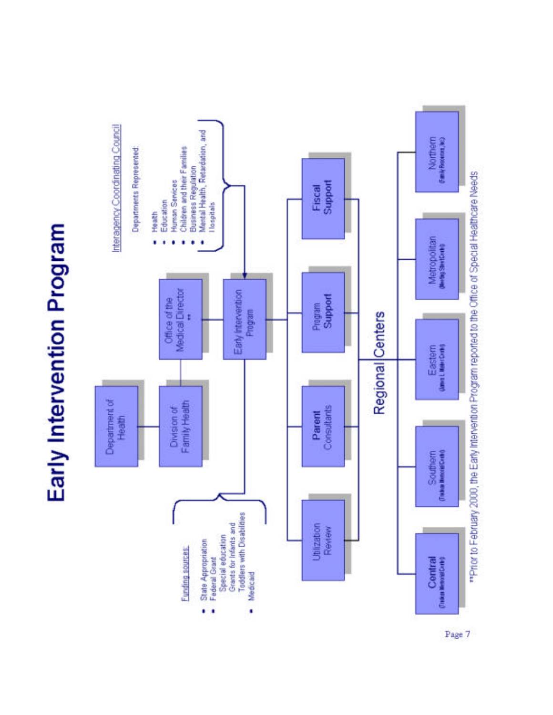# Early Intervention Program



Page 7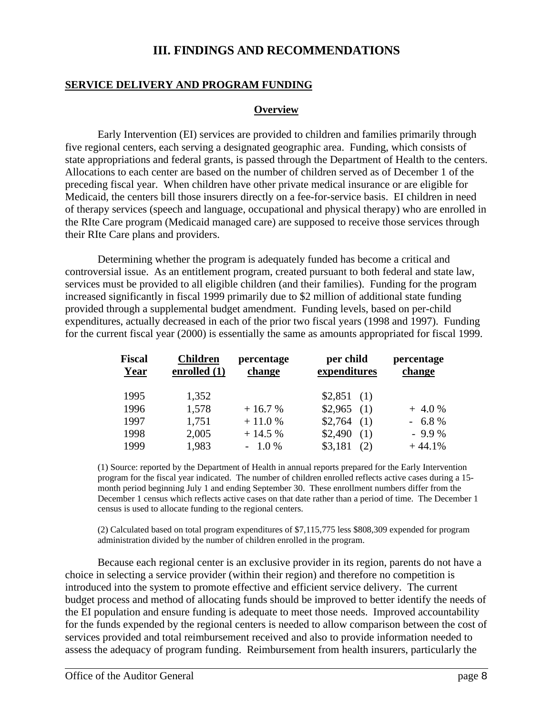# **III. FINDINGS AND RECOMMENDATIONS**

### **SERVICE DELIVERY AND PROGRAM FUNDING**

### **Overview**

Early Intervention (EI) services are provided to children and families primarily through five regional centers, each serving a designated geographic area. Funding, which consists of state appropriations and federal grants, is passed through the Department of Health to the centers. Allocations to each center are based on the number of children served as of December 1 of the preceding fiscal year. When children have other private medical insurance or are eligible for Medicaid, the centers bill those insurers directly on a fee-for-service basis. EI children in need of therapy services (speech and language, occupational and physical therapy) who are enrolled in the RIte Care program (Medicaid managed care) are supposed to receive those services through their RIte Care plans and providers.

Determining whether the program is adequately funded has become a critical and controversial issue. As an entitlement program, created pursuant to both federal and state law, services must be provided to all eligible children (and their families). Funding for the program increased significantly in fiscal 1999 primarily due to \$2 million of additional state funding provided through a supplemental budget amendment. Funding levels, based on per-child expenditures, actually decreased in each of the prior two fiscal years (1998 and 1997). Funding for the current fiscal year (2000) is essentially the same as amounts appropriated for fiscal 1999.

| <b>Fiscal</b><br>Year | <b>Children</b><br>enrolled $(1)$ | percentage<br>change | per child<br>expenditures | percentage<br>change |
|-----------------------|-----------------------------------|----------------------|---------------------------|----------------------|
| 1995                  | 1,352                             |                      | $$2,851$ (1)              |                      |
| 1996                  | 1,578                             | $+16.7%$             | $$2,965$ (1)              | $+4.0%$              |
| 1997                  | 1,751                             | $+11.0%$             | \$2,764<br>(1)            | $-6.8%$              |
| 1998                  | 2,005                             | $+14.5%$             | \$2,490<br>(1)            | $-9.9%$              |
| 1999                  | 1,983                             | $-1.0\%$             | \$3,181<br>(2)            | $+44.1%$             |

(1) Source: reported by the Department of Health in annual reports prepared for the Early Intervention program for the fiscal year indicated. The number of children enrolled reflects active cases during a 15 month period beginning July 1 and ending September 30. These enrollment numbers differ from the December 1 census which reflects active cases on that date rather than a period of time. The December 1 census is used to allocate funding to the regional centers.

(2) Calculated based on total program expenditures of \$7,115,775 less \$808,309 expended for program administration divided by the number of children enrolled in the program.

Because each regional center is an exclusive provider in its region, parents do not have a choice in selecting a service provider (within their region) and therefore no competition is introduced into the system to promote effective and efficient service delivery. The current budget process and method of allocating funds should be improved to better identify the needs of the EI population and ensure funding is adequate to meet those needs. Improved accountability for the funds expended by the regional centers is needed to allow comparison between the cost of services provided and total reimbursement received and also to provide information needed to assess the adequacy of program funding. Reimbursement from health insurers, particularly the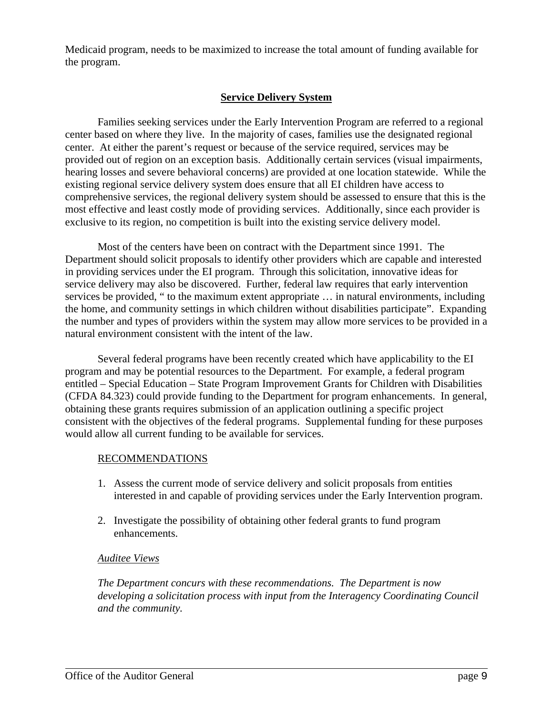Medicaid program, needs to be maximized to increase the total amount of funding available for the program.

### **Service Delivery System**

Families seeking services under the Early Intervention Program are referred to a regional center based on where they live. In the majority of cases, families use the designated regional center. At either the parent's request or because of the service required, services may be provided out of region on an exception basis. Additionally certain services (visual impairments, hearing losses and severe behavioral concerns) are provided at one location statewide. While the existing regional service delivery system does ensure that all EI children have access to comprehensive services, the regional delivery system should be assessed to ensure that this is the most effective and least costly mode of providing services. Additionally, since each provider is exclusive to its region, no competition is built into the existing service delivery model.

Most of the centers have been on contract with the Department since 1991. The Department should solicit proposals to identify other providers which are capable and interested in providing services under the EI program. Through this solicitation, innovative ideas for service delivery may also be discovered. Further, federal law requires that early intervention services be provided, " to the maximum extent appropriate … in natural environments, including the home, and community settings in which children without disabilities participate". Expanding the number and types of providers within the system may allow more services to be provided in a natural environment consistent with the intent of the law.

Several federal programs have been recently created which have applicability to the EI program and may be potential resources to the Department. For example, a federal program entitled – Special Education – State Program Improvement Grants for Children with Disabilities (CFDA 84.323) could provide funding to the Department for program enhancements. In general, obtaining these grants requires submission of an application outlining a specific project consistent with the objectives of the federal programs. Supplemental funding for these purposes would allow all current funding to be available for services.

### RECOMMENDATIONS

- 1. Assess the current mode of service delivery and solicit proposals from entities interested in and capable of providing services under the Early Intervention program.
- 2. Investigate the possibility of obtaining other federal grants to fund program enhancements.

### *Auditee Views*

*The Department concurs with these recommendations. The Department is now developing a solicitation process with input from the Interagency Coordinating Council and the community.*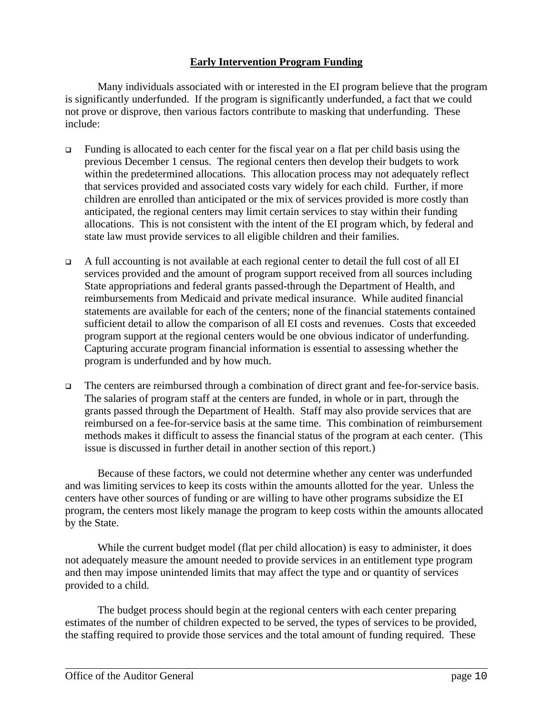## **Early Intervention Program Funding**

Many individuals associated with or interested in the EI program believe that the program is significantly underfunded. If the program is significantly underfunded, a fact that we could not prove or disprove, then various factors contribute to masking that underfunding. These include:

- $\Box$  Funding is allocated to each center for the fiscal year on a flat per child basis using the previous December 1 census. The regional centers then develop their budgets to work within the predetermined allocations. This allocation process may not adequately reflect that services provided and associated costs vary widely for each child. Further, if more children are enrolled than anticipated or the mix of services provided is more costly than anticipated, the regional centers may limit certain services to stay within their funding allocations. This is not consistent with the intent of the EI program which, by federal and state law must provide services to all eligible children and their families.
- <sup>q</sup> A full accounting is not available at each regional center to detail the full cost of all EI services provided and the amount of program support received from all sources including State appropriations and federal grants passed-through the Department of Health, and reimbursements from Medicaid and private medical insurance. While audited financial statements are available for each of the centers; none of the financial statements contained sufficient detail to allow the comparison of all EI costs and revenues. Costs that exceeded program support at the regional centers would be one obvious indicator of underfunding. Capturing accurate program financial information is essential to assessing whether the program is underfunded and by how much.
- <sup>q</sup> The centers are reimbursed through a combination of direct grant and fee-for-service basis. The salaries of program staff at the centers are funded, in whole or in part, through the grants passed through the Department of Health. Staff may also provide services that are reimbursed on a fee-for-service basis at the same time. This combination of reimbursement methods makes it difficult to assess the financial status of the program at each center. (This issue is discussed in further detail in another section of this report.)

Because of these factors, we could not determine whether any center was underfunded and was limiting services to keep its costs within the amounts allotted for the year. Unless the centers have other sources of funding or are willing to have other programs subsidize the EI program, the centers most likely manage the program to keep costs within the amounts allocated by the State.

While the current budget model (flat per child allocation) is easy to administer, it does not adequately measure the amount needed to provide services in an entitlement type program and then may impose unintended limits that may affect the type and or quantity of services provided to a child.

The budget process should begin at the regional centers with each center preparing estimates of the number of children expected to be served, the types of services to be provided, the staffing required to provide those services and the total amount of funding required. These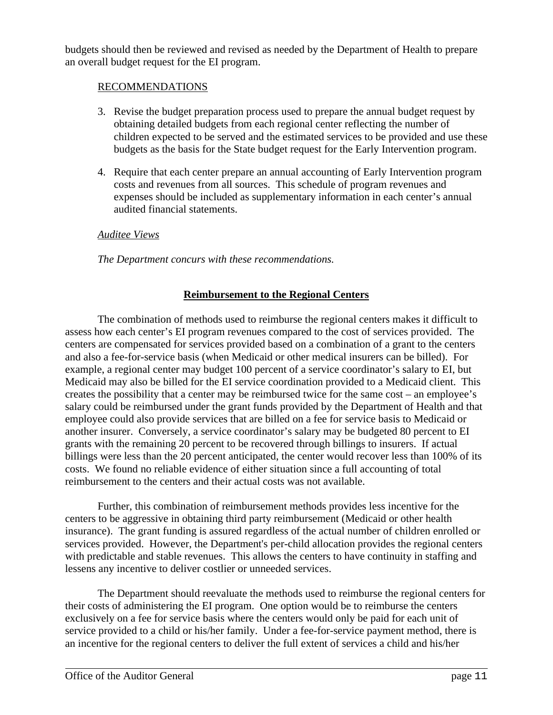budgets should then be reviewed and revised as needed by the Department of Health to prepare an overall budget request for the EI program.

### RECOMMENDATIONS

- 3. Revise the budget preparation process used to prepare the annual budget request by obtaining detailed budgets from each regional center reflecting the number of children expected to be served and the estimated services to be provided and use these budgets as the basis for the State budget request for the Early Intervention program.
- 4. Require that each center prepare an annual accounting of Early Intervention program costs and revenues from all sources. This schedule of program revenues and expenses should be included as supplementary information in each center's annual audited financial statements.

### *Auditee Views*

*The Department concurs with these recommendations.*

### **Reimbursement to the Regional Centers**

The combination of methods used to reimburse the regional centers makes it difficult to assess how each center's EI program revenues compared to the cost of services provided. The centers are compensated for services provided based on a combination of a grant to the centers and also a fee-for-service basis (when Medicaid or other medical insurers can be billed). For example, a regional center may budget 100 percent of a service coordinator's salary to EI, but Medicaid may also be billed for the EI service coordination provided to a Medicaid client. This creates the possibility that a center may be reimbursed twice for the same cost – an employee's salary could be reimbursed under the grant funds provided by the Department of Health and that employee could also provide services that are billed on a fee for service basis to Medicaid or another insurer. Conversely, a service coordinator's salary may be budgeted 80 percent to EI grants with the remaining 20 percent to be recovered through billings to insurers. If actual billings were less than the 20 percent anticipated, the center would recover less than 100% of its costs. We found no reliable evidence of either situation since a full accounting of total reimbursement to the centers and their actual costs was not available.

Further, this combination of reimbursement methods provides less incentive for the centers to be aggressive in obtaining third party reimbursement (Medicaid or other health insurance). The grant funding is assured regardless of the actual number of children enrolled or services provided. However, the Department's per-child allocation provides the regional centers with predictable and stable revenues. This allows the centers to have continuity in staffing and lessens any incentive to deliver costlier or unneeded services.

The Department should reevaluate the methods used to reimburse the regional centers for their costs of administering the EI program. One option would be to reimburse the centers exclusively on a fee for service basis where the centers would only be paid for each unit of service provided to a child or his/her family. Under a fee-for-service payment method, there is an incentive for the regional centers to deliver the full extent of services a child and his/her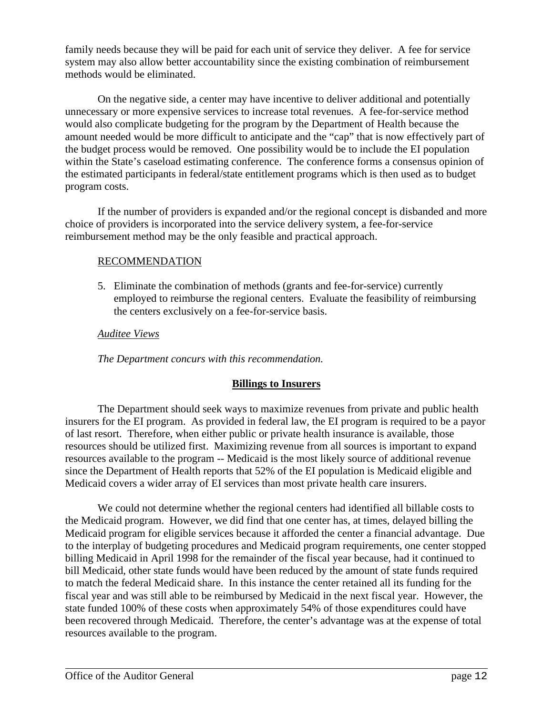family needs because they will be paid for each unit of service they deliver. A fee for service system may also allow better accountability since the existing combination of reimbursement methods would be eliminated.

On the negative side, a center may have incentive to deliver additional and potentially unnecessary or more expensive services to increase total revenues. A fee-for-service method would also complicate budgeting for the program by the Department of Health because the amount needed would be more difficult to anticipate and the "cap" that is now effectively part of the budget process would be removed. One possibility would be to include the EI population within the State's caseload estimating conference. The conference forms a consensus opinion of the estimated participants in federal/state entitlement programs which is then used as to budget program costs.

If the number of providers is expanded and/or the regional concept is disbanded and more choice of providers is incorporated into the service delivery system, a fee-for-service reimbursement method may be the only feasible and practical approach.

### RECOMMENDATION

5. Eliminate the combination of methods (grants and fee-for-service) currently employed to reimburse the regional centers. Evaluate the feasibility of reimbursing the centers exclusively on a fee-for-service basis.

### *Auditee Views*

*The Department concurs with this recommendation.*

### **Billings to Insurers**

The Department should seek ways to maximize revenues from private and public health insurers for the EI program. As provided in federal law, the EI program is required to be a payor of last resort. Therefore, when either public or private health insurance is available, those resources should be utilized first. Maximizing revenue from all sources is important to expand resources available to the program -- Medicaid is the most likely source of additional revenue since the Department of Health reports that 52% of the EI population is Medicaid eligible and Medicaid covers a wider array of EI services than most private health care insurers.

We could not determine whether the regional centers had identified all billable costs to the Medicaid program. However, we did find that one center has, at times, delayed billing the Medicaid program for eligible services because it afforded the center a financial advantage. Due to the interplay of budgeting procedures and Medicaid program requirements, one center stopped billing Medicaid in April 1998 for the remainder of the fiscal year because, had it continued to bill Medicaid, other state funds would have been reduced by the amount of state funds required to match the federal Medicaid share. In this instance the center retained all its funding for the fiscal year and was still able to be reimbursed by Medicaid in the next fiscal year. However, the state funded 100% of these costs when approximately 54% of those expenditures could have been recovered through Medicaid. Therefore, the center's advantage was at the expense of total resources available to the program.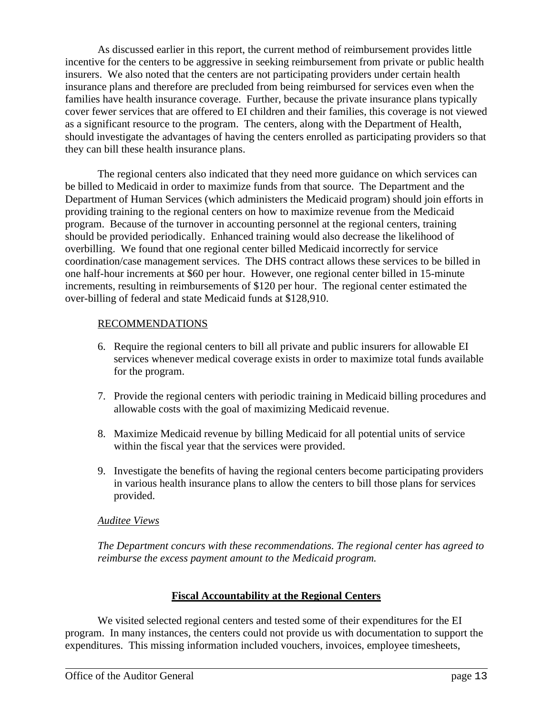As discussed earlier in this report, the current method of reimbursement provides little incentive for the centers to be aggressive in seeking reimbursement from private or public health insurers. We also noted that the centers are not participating providers under certain health insurance plans and therefore are precluded from being reimbursed for services even when the families have health insurance coverage. Further, because the private insurance plans typically cover fewer services that are offered to EI children and their families, this coverage is not viewed as a significant resource to the program. The centers, along with the Department of Health, should investigate the advantages of having the centers enrolled as participating providers so that they can bill these health insurance plans.

The regional centers also indicated that they need more guidance on which services can be billed to Medicaid in order to maximize funds from that source. The Department and the Department of Human Services (which administers the Medicaid program) should join efforts in providing training to the regional centers on how to maximize revenue from the Medicaid program. Because of the turnover in accounting personnel at the regional centers, training should be provided periodically. Enhanced training would also decrease the likelihood of overbilling. We found that one regional center billed Medicaid incorrectly for service coordination/case management services. The DHS contract allows these services to be billed in one half-hour increments at \$60 per hour. However, one regional center billed in 15-minute increments, resulting in reimbursements of \$120 per hour. The regional center estimated the over-billing of federal and state Medicaid funds at \$128,910.

### RECOMMENDATIONS

- 6. Require the regional centers to bill all private and public insurers for allowable EI services whenever medical coverage exists in order to maximize total funds available for the program.
- 7. Provide the regional centers with periodic training in Medicaid billing procedures and allowable costs with the goal of maximizing Medicaid revenue.
- 8. Maximize Medicaid revenue by billing Medicaid for all potential units of service within the fiscal year that the services were provided.
- 9. Investigate the benefits of having the regional centers become participating providers in various health insurance plans to allow the centers to bill those plans for services provided.

### *Auditee Views*

*The Department concurs with these recommendations. The regional center has agreed to reimburse the excess payment amount to the Medicaid program.*

# **Fiscal Accountability at the Regional Centers**

We visited selected regional centers and tested some of their expenditures for the EI program. In many instances, the centers could not provide us with documentation to support the expenditures. This missing information included vouchers, invoices, employee timesheets,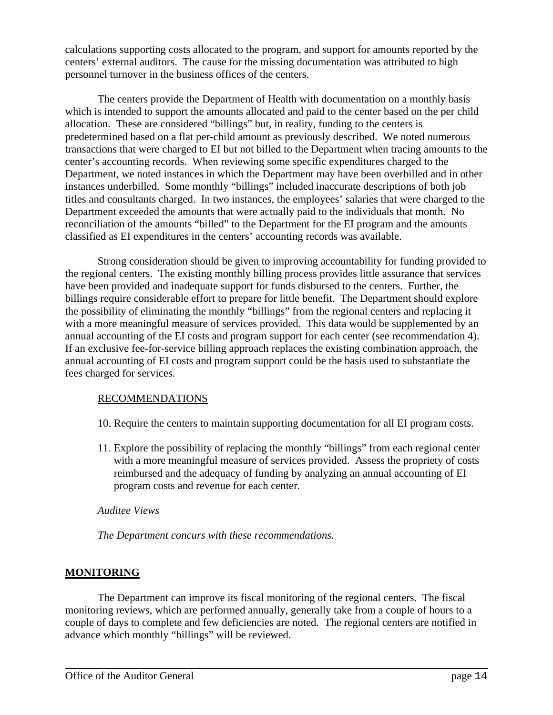calculations supporting costs allocated to the program, and support for amounts reported by the centers' external auditors. The cause for the missing documentation was attributed to high personnel turnover in the business offices of the centers.

The centers provide the Department of Health with documentation on a monthly basis which is intended to support the amounts allocated and paid to the center based on the per child allocation. These are considered "billings" but, in reality, funding to the centers is predetermined based on a flat per-child amount as previously described. We noted numerous transactions that were charged to EI but not billed to the Department when tracing amounts to the center's accounting records. When reviewing some specific expenditures charged to the Department, we noted instances in which the Department may have been overbilled and in other instances underbilled. Some monthly "billings" included inaccurate descriptions of both job titles and consultants charged. In two instances, the employees' salaries that were charged to the Department exceeded the amounts that were actually paid to the individuals that month. No reconciliation of the amounts "billed" to the Department for the EI program and the amounts classified as EI expenditures in the centers' accounting records was available.

Strong consideration should be given to improving accountability for funding provided to the regional centers. The existing monthly billing process provides little assurance that services have been provided and inadequate support for funds disbursed to the centers. Further, the billings require considerable effort to prepare for little benefit. The Department should explore the possibility of eliminating the monthly "billings" from the regional centers and replacing it with a more meaningful measure of services provided. This data would be supplemented by an annual accounting of the EI costs and program support for each center (see recommendation 4). If an exclusive fee-for-service billing approach replaces the existing combination approach, the annual accounting of EI costs and program support could be the basis used to substantiate the fees charged for services.

### RECOMMENDATIONS

- 10. Require the centers to maintain supporting documentation for all EI program costs.
- 11. Explore the possibility of replacing the monthly "billings" from each regional center with a more meaningful measure of services provided. Assess the propriety of costs reimbursed and the adequacy of funding by analyzing an annual accounting of EI program costs and revenue for each center.

# *Auditee Views*

*The Department concurs with these recommendations.*

# **MONITORING**

The Department can improve its fiscal monitoring of the regional centers. The fiscal monitoring reviews, which are performed annually, generally take from a couple of hours to a couple of days to complete and few deficiencies are noted. The regional centers are notified in advance which monthly "billings" will be reviewed.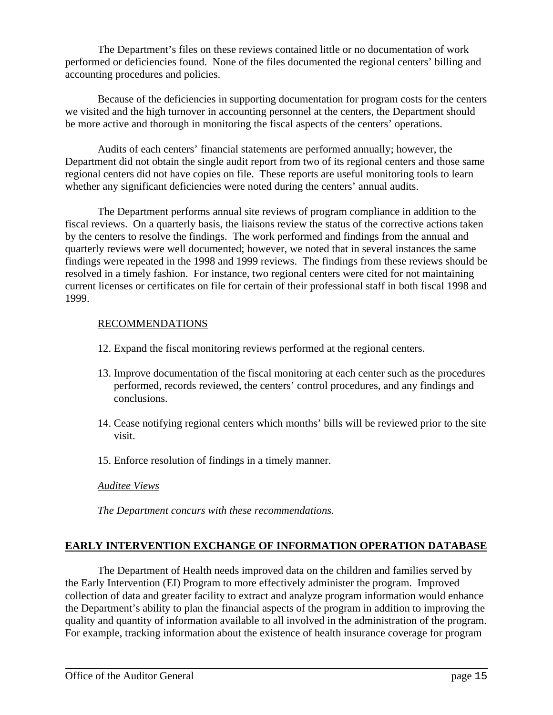The Department's files on these reviews contained little or no documentation of work performed or deficiencies found. None of the files documented the regional centers' billing and accounting procedures and policies.

Because of the deficiencies in supporting documentation for program costs for the centers we visited and the high turnover in accounting personnel at the centers, the Department should be more active and thorough in monitoring the fiscal aspects of the centers' operations.

Audits of each centers' financial statements are performed annually; however, the Department did not obtain the single audit report from two of its regional centers and those same regional centers did not have copies on file. These reports are useful monitoring tools to learn whether any significant deficiencies were noted during the centers' annual audits.

The Department performs annual site reviews of program compliance in addition to the fiscal reviews. On a quarterly basis, the liaisons review the status of the corrective actions taken by the centers to resolve the findings. The work performed and findings from the annual and quarterly reviews were well documented; however, we noted that in several instances the same findings were repeated in the 1998 and 1999 reviews. The findings from these reviews should be resolved in a timely fashion. For instance, two regional centers were cited for not maintaining current licenses or certificates on file for certain of their professional staff in both fiscal 1998 and 1999.

### RECOMMENDATIONS

- 12. Expand the fiscal monitoring reviews performed at the regional centers.
- 13. Improve documentation of the fiscal monitoring at each center such as the procedures performed, records reviewed, the centers' control procedures, and any findings and conclusions.
- 14. Cease notifying regional centers which months' bills will be reviewed prior to the site visit.
- 15. Enforce resolution of findings in a timely manner.

### *Auditee Views*

*The Department concurs with these recommendations.*

# **EARLY INTERVENTION EXCHANGE OF INFORMATION OPERATION DATABASE**

The Department of Health needs improved data on the children and families served by the Early Intervention (EI) Program to more effectively administer the program. Improved collection of data and greater facility to extract and analyze program information would enhance the Department's ability to plan the financial aspects of the program in addition to improving the quality and quantity of information available to all involved in the administration of the program. For example, tracking information about the existence of health insurance coverage for program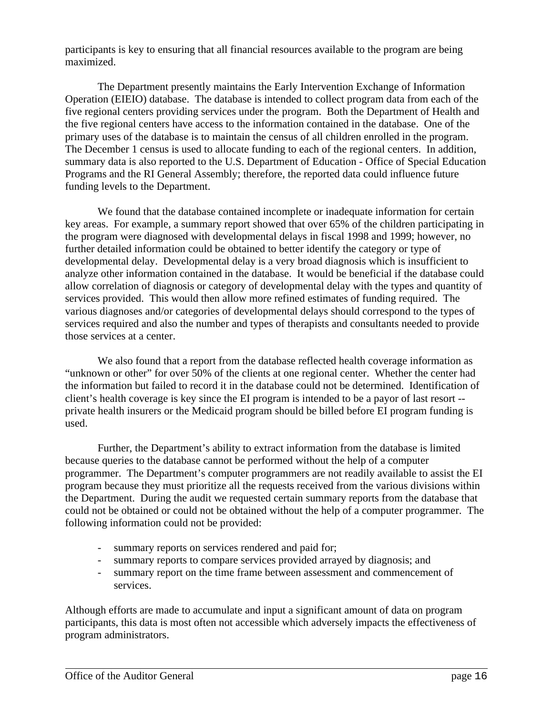participants is key to ensuring that all financial resources available to the program are being maximized.

The Department presently maintains the Early Intervention Exchange of Information Operation (EIEIO) database. The database is intended to collect program data from each of the five regional centers providing services under the program. Both the Department of Health and the five regional centers have access to the information contained in the database. One of the primary uses of the database is to maintain the census of all children enrolled in the program. The December 1 census is used to allocate funding to each of the regional centers. In addition, summary data is also reported to the U.S. Department of Education - Office of Special Education Programs and the RI General Assembly; therefore, the reported data could influence future funding levels to the Department.

We found that the database contained incomplete or inadequate information for certain key areas. For example, a summary report showed that over 65% of the children participating in the program were diagnosed with developmental delays in fiscal 1998 and 1999; however, no further detailed information could be obtained to better identify the category or type of developmental delay. Developmental delay is a very broad diagnosis which is insufficient to analyze other information contained in the database. It would be beneficial if the database could allow correlation of diagnosis or category of developmental delay with the types and quantity of services provided. This would then allow more refined estimates of funding required. The various diagnoses and/or categories of developmental delays should correspond to the types of services required and also the number and types of therapists and consultants needed to provide those services at a center.

We also found that a report from the database reflected health coverage information as "unknown or other" for over 50% of the clients at one regional center. Whether the center had the information but failed to record it in the database could not be determined. Identification of client's health coverage is key since the EI program is intended to be a payor of last resort - private health insurers or the Medicaid program should be billed before EI program funding is used.

Further, the Department's ability to extract information from the database is limited because queries to the database cannot be performed without the help of a computer programmer. The Department's computer programmers are not readily available to assist the EI program because they must prioritize all the requests received from the various divisions within the Department. During the audit we requested certain summary reports from the database that could not be obtained or could not be obtained without the help of a computer programmer. The following information could not be provided:

- summary reports on services rendered and paid for;
- summary reports to compare services provided arrayed by diagnosis; and
- summary report on the time frame between assessment and commencement of services.

Although efforts are made to accumulate and input a significant amount of data on program participants, this data is most often not accessible which adversely impacts the effectiveness of program administrators.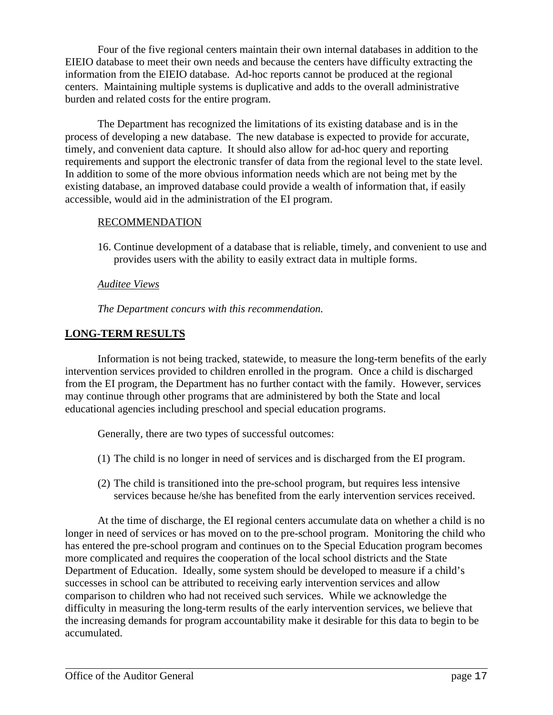Four of the five regional centers maintain their own internal databases in addition to the EIEIO database to meet their own needs and because the centers have difficulty extracting the information from the EIEIO database. Ad-hoc reports cannot be produced at the regional centers. Maintaining multiple systems is duplicative and adds to the overall administrative burden and related costs for the entire program.

The Department has recognized the limitations of its existing database and is in the process of developing a new database. The new database is expected to provide for accurate, timely, and convenient data capture. It should also allow for ad-hoc query and reporting requirements and support the electronic transfer of data from the regional level to the state level. In addition to some of the more obvious information needs which are not being met by the existing database, an improved database could provide a wealth of information that, if easily accessible, would aid in the administration of the EI program.

### RECOMMENDATION

16. Continue development of a database that is reliable, timely, and convenient to use and provides users with the ability to easily extract data in multiple forms.

### *Auditee Views*

*The Department concurs with this recommendation.*

# **LONG-TERM RESULTS**

Information is not being tracked, statewide, to measure the long-term benefits of the early intervention services provided to children enrolled in the program. Once a child is discharged from the EI program, the Department has no further contact with the family. However, services may continue through other programs that are administered by both the State and local educational agencies including preschool and special education programs.

Generally, there are two types of successful outcomes:

- (1) The child is no longer in need of services and is discharged from the EI program.
- (2) The child is transitioned into the pre-school program, but requires less intensive services because he/she has benefited from the early intervention services received.

At the time of discharge, the EI regional centers accumulate data on whether a child is no longer in need of services or has moved on to the pre-school program. Monitoring the child who has entered the pre-school program and continues on to the Special Education program becomes more complicated and requires the cooperation of the local school districts and the State Department of Education. Ideally, some system should be developed to measure if a child's successes in school can be attributed to receiving early intervention services and allow comparison to children who had not received such services. While we acknowledge the difficulty in measuring the long-term results of the early intervention services, we believe that the increasing demands for program accountability make it desirable for this data to begin to be accumulated.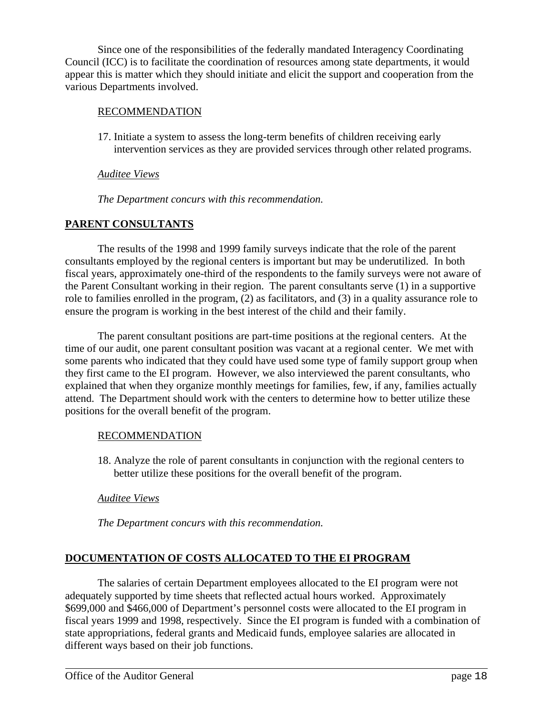Since one of the responsibilities of the federally mandated Interagency Coordinating Council (ICC) is to facilitate the coordination of resources among state departments, it would appear this is matter which they should initiate and elicit the support and cooperation from the various Departments involved.

### RECOMMENDATION

17. Initiate a system to assess the long-term benefits of children receiving early intervention services as they are provided services through other related programs.

### *Auditee Views*

*The Department concurs with this recommendation.*

# **PARENT CONSULTANTS**

The results of the 1998 and 1999 family surveys indicate that the role of the parent consultants employed by the regional centers is important but may be underutilized. In both fiscal years, approximately one-third of the respondents to the family surveys were not aware of the Parent Consultant working in their region. The parent consultants serve (1) in a supportive role to families enrolled in the program, (2) as facilitators, and (3) in a quality assurance role to ensure the program is working in the best interest of the child and their family.

The parent consultant positions are part-time positions at the regional centers. At the time of our audit, one parent consultant position was vacant at a regional center. We met with some parents who indicated that they could have used some type of family support group when they first came to the EI program. However, we also interviewed the parent consultants, who explained that when they organize monthly meetings for families, few, if any, families actually attend. The Department should work with the centers to determine how to better utilize these positions for the overall benefit of the program.

### RECOMMENDATION

18. Analyze the role of parent consultants in conjunction with the regional centers to better utilize these positions for the overall benefit of the program.

# *Auditee Views*

*The Department concurs with this recommendation.*

# **DOCUMENTATION OF COSTS ALLOCATED TO THE EI PROGRAM**

The salaries of certain Department employees allocated to the EI program were not adequately supported by time sheets that reflected actual hours worked. Approximately \$699,000 and \$466,000 of Department's personnel costs were allocated to the EI program in fiscal years 1999 and 1998, respectively. Since the EI program is funded with a combination of state appropriations, federal grants and Medicaid funds, employee salaries are allocated in different ways based on their job functions.